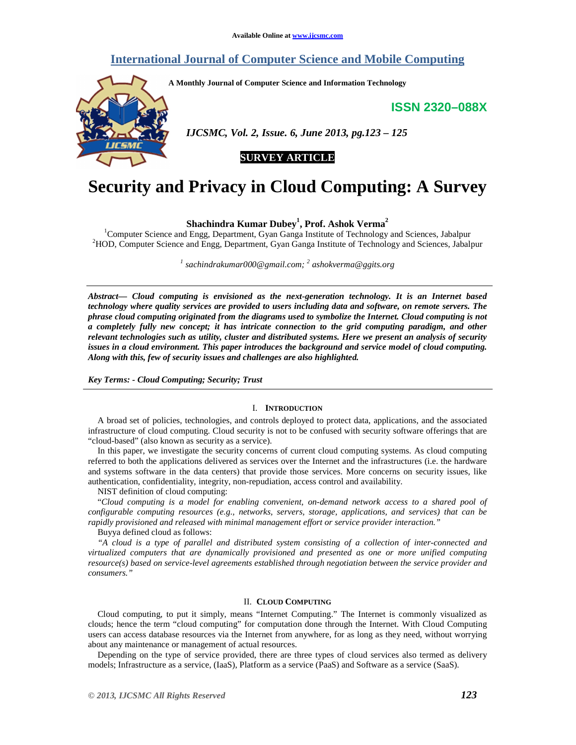# **International Journal of Computer Science and Mobile Computing**

**A Monthly Journal of Computer Science and Information Technology** 

**ISSN 2320–088X**



 *IJCSMC, Vol. 2, Issue. 6, June 2013, pg.123 – 125* 

# **SURVEY ARTICLE**

# **Security and Privacy in Cloud Computing: A Survey**

**Shachindra Kumar Dubey<sup>1</sup> , Prof. Ashok Verma<sup>2</sup>**

<sup>1</sup>Computer Science and Engg, Department, Gyan Ganga Institute of Technology and Sciences, Jabalpur <sup>2</sup>HOD, Computer Science and Engg, Department, Gyan Ganga Institute of Technology and Sciences, Jabalpur

*1 sachindrakumar000@gmail.com; <sup>2</sup> ashokverma@ggits.org*

*Abstract— Cloud computing is envisioned as the next-generation technology. It is an Internet based technology where quality services are provided to users including data and software, on remote servers. The phrase cloud computing originated from the diagrams used to symbolize the Internet. Cloud computing is not a completely fully new concept; it has intricate connection to the grid computing paradigm, and other relevant technologies such as utility, cluster and distributed systems. Here we present an analysis of security issues in a cloud environment. This paper introduces the background and service model of cloud computing. Along with this, few of security issues and challenges are also highlighted.* 

*Key Terms: - Cloud Computing; Security; Trust* 

## I. **INTRODUCTION**

A broad set of policies, technologies, and controls deployed to protect data, applications, and the associated infrastructure of cloud computing. Cloud security is not to be confused with security software offerings that are "cloud-based" (also known as security as a service).

In this paper, we investigate the security concerns of current cloud computing systems. As cloud computing referred to both the applications delivered as services over the Internet and the infrastructures (i.e. the hardware and systems software in the data centers) that provide those services. More concerns on security issues, like authentication, confidentiality, integrity, non-repudiation, access control and availability.

NIST definition of cloud computing:

"*Cloud computing is a model for enabling convenient, on-demand network access to a shared pool of configurable computing resources (e.g., networks, servers, storage, applications, and services) that can be rapidly provisioned and released with minimal management effort or service provider interaction."* 

Buyya defined cloud as follows:

*"A cloud is a type of parallel and distributed system consisting of a collection of inter-connected and virtualized computers that are dynamically provisioned and presented as one or more unified computing resource(s) based on service-level agreements established through negotiation between the service provider and consumers."*

# II. **CLOUD COMPUTING**

Cloud computing, to put it simply, means "Internet Computing." The Internet is commonly visualized as clouds; hence the term "cloud computing" for computation done through the Internet. With Cloud Computing users can access database resources via the Internet from anywhere, for as long as they need, without worrying about any maintenance or management of actual resources.

Depending on the type of service provided, there are three types of cloud services also termed as delivery models; Infrastructure as a service, (IaaS), Platform as a service (PaaS) and Software as a service (SaaS).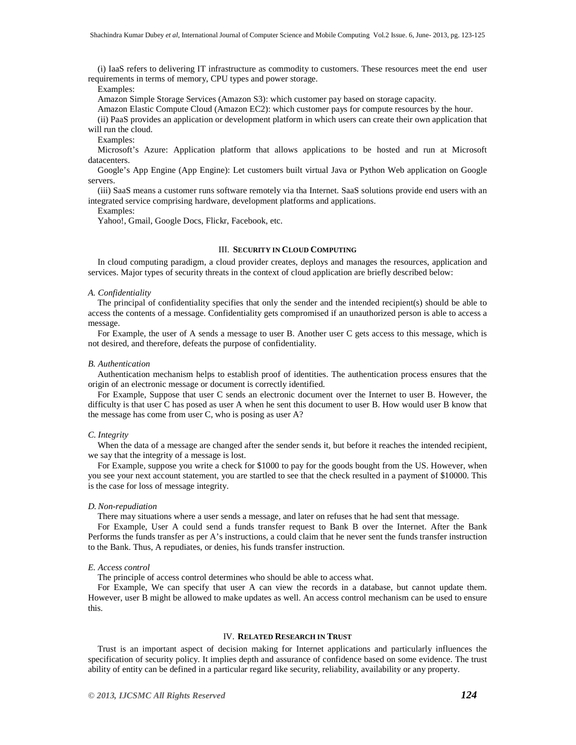(i) IaaS refers to delivering IT infrastructure as commodity to customers. These resources meet the end user requirements in terms of memory, CPU types and power storage.

#### Examples:

Amazon Simple Storage Services (Amazon S3): which customer pay based on storage capacity.

Amazon Elastic Compute Cloud (Amazon EC2): which customer pays for compute resources by the hour.

(ii) PaaS provides an application or development platform in which users can create their own application that will run the cloud.

Examples:

Microsoft's Azure: Application platform that allows applications to be hosted and run at Microsoft datacenters.

Google's App Engine (App Engine): Let customers built virtual Java or Python Web application on Google servers.

(iii) SaaS means a customer runs software remotely via tha Internet. SaaS solutions provide end users with an integrated service comprising hardware, development platforms and applications.

#### Examples:

Yahoo!, Gmail, Google Docs, Flickr, Facebook, etc.

# III. **SECURITY IN CLOUD COMPUTING**

In cloud computing paradigm, a cloud provider creates, deploys and manages the resources, application and services. Major types of security threats in the context of cloud application are briefly described below:

#### *A. Confidentiality*

The principal of confidentiality specifies that only the sender and the intended recipient(s) should be able to access the contents of a message. Confidentiality gets compromised if an unauthorized person is able to access a message.

For Example, the user of A sends a message to user B. Another user C gets access to this message, which is not desired, and therefore, defeats the purpose of confidentiality.

#### *B. Authentication*

Authentication mechanism helps to establish proof of identities. The authentication process ensures that the origin of an electronic message or document is correctly identified.

For Example, Suppose that user C sends an electronic document over the Internet to user B. However, the difficulty is that user C has posed as user A when he sent this document to user B. How would user B know that the message has come from user C, who is posing as user A?

#### *C. Integrity*

When the data of a message are changed after the sender sends it, but before it reaches the intended recipient, we say that the integrity of a message is lost.

For Example, suppose you write a check for \$1000 to pay for the goods bought from the US. However, when you see your next account statement, you are startled to see that the check resulted in a payment of \$10000. This is the case for loss of message integrity.

#### *D. Non-repudiation*

There may situations where a user sends a message, and later on refuses that he had sent that message.

For Example, User A could send a funds transfer request to Bank B over the Internet. After the Bank Performs the funds transfer as per A's instructions, a could claim that he never sent the funds transfer instruction to the Bank. Thus, A repudiates, or denies, his funds transfer instruction.

#### *E. Access control*

The principle of access control determines who should be able to access what.

For Example, We can specify that user A can view the records in a database, but cannot update them. However, user B might be allowed to make updates as well. An access control mechanism can be used to ensure this.

### IV. **RELATED RESEARCH IN TRUST**

Trust is an important aspect of decision making for Internet applications and particularly influences the specification of security policy. It implies depth and assurance of confidence based on some evidence. The trust ability of entity can be defined in a particular regard like security, reliability, availability or any property.